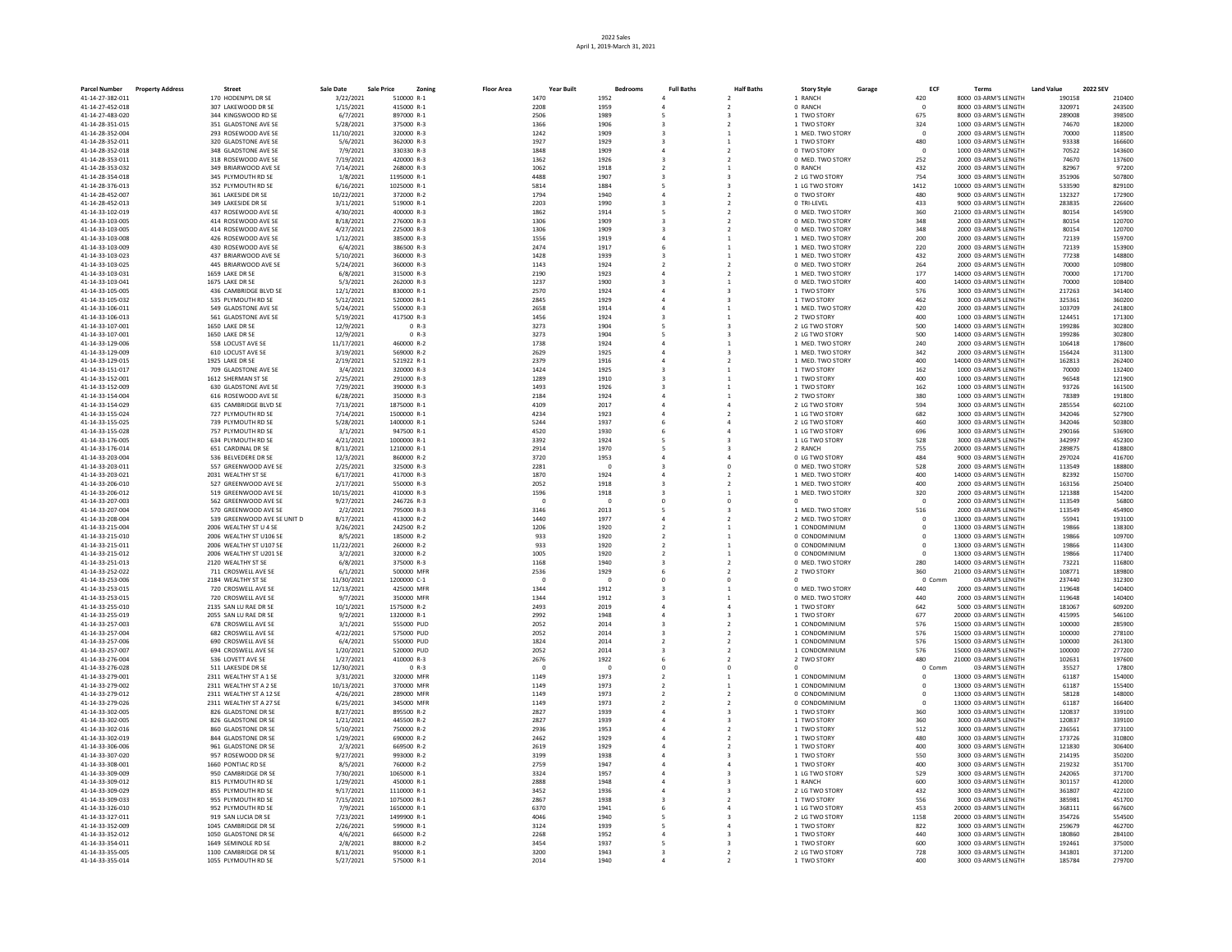| <b>Parcel Number</b>                 | <b>Property Address</b> | Street                                         | <b>Sale Date</b>       | <b>Sale Price</b><br>Zoning | <b>Floor Area</b> | Year Built   | Bedrooms     | <b>Full Baths</b> | <b>Half Baths</b>       | <b>Story Style</b>                   | Garage | ECF                            | <b>Terms</b>                                   | <b>Land Value</b> | <b>2022 SEV</b>  |
|--------------------------------------|-------------------------|------------------------------------------------|------------------------|-----------------------------|-------------------|--------------|--------------|-------------------|-------------------------|--------------------------------------|--------|--------------------------------|------------------------------------------------|-------------------|------------------|
| 41-14-27-382-011                     |                         | 170 HODENPYL DR SE                             | 3/22/2021              | 510000 R-1                  |                   | 1470         | 1952         |                   | $\mathcal{L}$           | 1 RANCH                              |        | 420                            | 8000 03-ARM'S LENGTH                           | 190158            | 210400           |
| 41-14-27-452-018                     |                         | 307 LAKEWOOD DR SE                             | 1/15/2021              | 415000 R-1                  |                   | 2208         | 1959         |                   |                         | 0 RANCH                              |        | $\Omega$                       | 8000 03-ARM'S LENGTH                           | 320971            | 243500           |
| 41-14-27-483-020                     |                         | 344 KINGSWOOD RD SE                            | 6/7/2021               | 897000 R-1                  |                   | 2506         | 1989         |                   |                         | 1 TWO STORY                          |        | 675                            | 8000 03-ARM'S LENGTH                           | 289008            | 398500           |
| 41-14-28-351-015                     |                         | 351 GLADSTONE AVE SE                           | 5/28/2021              | 375000 R-3                  |                   | 1366         | 1906         |                   |                         | 1 TWO STORY                          |        | 324                            | 1000 03-ARM'S LENGTH                           | 74670             | 182000           |
| 41-14-28-352-004                     |                         | 293 ROSEWOOD AVE SE                            | 11/10/2021             | 320000 R-3<br>362000 R-3    |                   | 1242<br>1927 | 1909<br>1929 |                   |                         | 1 MED, TWO STORY                     |        | $\overline{0}$                 | 2000 03-ARM'S LENGTH                           | 70000<br>93338    | 118500<br>166600 |
| 41-14-28-352-011<br>41-14-28-352-018 |                         | 320 GLADSTONE AVE SE<br>348 GLADSTONE AVE SE   | 5/6/2021<br>7/9/2021   | 330330 R-3                  |                   | 1848         | 1909         |                   |                         | 1 TWO STORY<br>0 TWO STORY           |        | 480<br>$\overline{\mathbf{0}}$ | 1000 03-ARM'S LENGTH<br>1000 03-ARM'S LENGTH   | 70522             | 143600           |
| 41-14-28-353-011                     |                         | 318 ROSEWOOD AVE SE                            | 7/19/2021              | 420000 R-3                  |                   | 1362         | 1926         |                   |                         | 0 MED. TWO STORY                     |        | 252                            | 2000 03-ARM'S LENGTH                           | 74670             | 137600           |
| 41-14-28-353-032                     |                         | 349 BRIARWOOD AVE SE                           | 7/14/2021              | 268000 R-3                  |                   | 1062         | 1918         |                   |                         | 0 RANCH                              |        | 432                            | 2000 03-ARM'S LENGTH                           | 82967             | 97200            |
| 41-14-28-354-018                     |                         | 345 PLYMOUTH RD SE                             | 1/8/2021               | 1195000 R-1                 |                   | 4488         | 1907         |                   |                         | 2 LG TWO STORY                       |        | 754                            | 3000 03-ARM'S LENGTH                           | 351906            | 507800           |
| 41-14-28-376-013                     |                         | 352 PLYMOUTH RD SE                             | 6/16/2021              | 1025000 R-1                 |                   | 5814         | 1884         |                   |                         | 1 LG TWO STORY                       |        | 1412                           | 10000 03-ARM'S LENGTH                          | 533590            | 829100           |
| 41-14-28-452-007                     |                         | 361 LAKESIDE DR SE                             | 10/22/2021             | 372000 R-2                  |                   | 1794         | 1940         |                   |                         | 0 TWO STORY                          |        | 480                            | 9000 03-ARM'S LENGTH                           | 132327            | 172900           |
| 41-14-28-452-013                     |                         | 349 LAKESIDE DR SE                             | 3/11/2021              | 519000 R-1                  |                   | 2203         | 1990         |                   |                         | 0 TRI-LEVEL                          |        | 433                            | 9000 03-ARM'S LENGTH                           | 283835            | 226600           |
| 41-14-33-102-019                     |                         | 437 ROSEWOOD AVE SE                            | 4/30/2021              | 400000 B-3                  |                   | 1862         | 1914         |                   | $\mathcal{P}$           | 0 MED. TWO STORY                     |        | 360                            | 21000 03-ARM'S LENGTH                          | 80154             | 145900           |
| 41-14-33-103-005<br>41-14-33-103-005 |                         | 414 ROSEWOOD AVE SE<br>414 ROSEWOOD AVE SE     | 8/18/2021<br>4/27/2021 | 276000 R-3<br>225000 R-3    |                   | 1306<br>1306 | 1909<br>1909 |                   |                         | 0 MED. TWO STORY<br>0 MED. TWO STORY |        | 348<br>348                     | 2000 03-ARM'S LENGTH<br>2000 03-ARM'S LENGTH   | 80154<br>80154    | 120700<br>120700 |
| 41-14-33-103-008                     |                         | 426 ROSEWOOD AVE SE                            | 1/12/2021              | 385000 R-3                  |                   | 1556         | 1919         |                   |                         | 1 MED, TWO STORY                     |        | 200                            | 2000 03-ARM'S LENGTH                           | 72139             | 159700           |
| 41-14-33-103-009                     |                         | 430 ROSEWOOD AVE SE                            | 6/4/2021               | 386500 R-3                  |                   | 2474         | 1917         |                   |                         | 1 MED. TWO STORY                     |        | 220                            | 2000 03-ARM'S LENGTH                           | 72139             | 153900           |
| 41-14-33-103-023                     |                         | 437 BRIARWOOD AVE SE                           | 5/10/2021              | 360000 R-3                  |                   | 1428         | 1939         |                   |                         | 1 MED. TWO STORY                     |        | 432                            | 2000 03-ARM'S LENGTH                           | 77238             | 148800           |
| 41-14-33-103-025                     |                         | 445 BRIARWOOD AVE SE                           | 5/24/2021              | 360000 R-3                  |                   | 1143         | 1924         |                   |                         | 0 MED. TWO STORY                     |        | 264                            | 2000 03-ARM'S LENGTH                           | 70000             | 109800           |
| 41-14-33-103-031                     |                         | 1659 LAKE DR SE                                | 6/8/2021               | 315000 R-3                  |                   | 2190         | 1923         |                   |                         | 1 MED. TWO STORY                     |        | 177                            | 14000 03-ARM'S LENGTH                          | 70000             | 171700           |
| 41-14-33-103-041                     |                         | 1675 LAKE DR SE                                | 5/3/2021               | 262000 R-3                  |                   | 1237         | 1900         |                   |                         | 0 MED. TWO STORY                     |        | 400                            | 14000 03-ARM'S LENGTH                          | 70000             | 108400           |
| 41-14-33-105-005                     |                         | 436 CAMBRIDGE BLVD SE                          | 12/1/2021              | 830000 R-1                  |                   | 2570         | 1924         |                   | $\overline{\mathbf{z}}$ | 1 TWO STORY                          |        | 576                            | 3000 03-ARM'S LENGTH                           | 217263            | 341400           |
| 41-14-33-105-032<br>41-14-33-106-011 |                         | 535 PLYMOUTH RD SE<br>549 GLADSTONE AVE SE     | 5/12/2021<br>5/24/2021 | 520000 R-1<br>550000 R-3    |                   | 2845<br>2658 | 1929<br>1914 |                   |                         | 1 TWO STORY<br>1 MED. TWO STORY      |        | 462<br>420                     | 3000 03-ARM'S LENGTH<br>2000 03-ARM'S LENGTH   | 325361<br>103709  | 360200<br>241800 |
| 41-14-33-106-013                     |                         | 561 GLADSTONE AVE SE                           | 5/19/2021              | 417500 R-3                  |                   | 1456         | 1924         |                   |                         | 2 TWO STORY                          |        | 400                            | 1000 03-ARM'S LENGTH                           | 124451            | 171300           |
| 41-14-33-107-001                     |                         | 1650 LAKE DR SE                                | 12/9/2021              | $0 R-3$                     |                   | 3273         | 1904         |                   |                         | 2 LG TWO STORY                       |        | 500                            | 14000 03-ARM'S LENGTH                          | 199286            | 302800           |
| 41-14-33-107-001                     |                         | 1650 LAKE DR SE                                | 12/9/2021              | $0 R-3$                     |                   | 3273         | 1904         |                   |                         | 2 LG TWO STORY                       |        | 500                            | 14000 03-ARM'S LENGTH                          | 199286            | 302800           |
| 41-14-33-129-006                     |                         | 558 LOCUST AVE SE                              | 11/17/2021             | 460000 R-2                  |                   | 1738         | 1924         |                   |                         | 1 MED. TWO STORY                     |        | 240                            | 2000 03-ARM'S LENGTH                           | 106418            | 178600           |
| 41-14-33-129-009                     |                         | 610 LOCUST AVE SE                              | 3/19/2021              | 569000 R-2                  |                   | 2629         | 1925         |                   |                         | 1 MED. TWO STORY                     |        | 342                            | 2000 03-ARM'S LENGTH                           | 156424            | 311300           |
| 41-14-33-129-015                     |                         | 1925 LAKE DR SE                                | 2/19/2021              | 521922 R-1                  |                   | 2379         | 1916         |                   |                         | 1 MED. TWO STORY                     |        | 400                            | 14000 03-ARM'S LENGTH                          | 162813            | 262400           |
| 41-14-33-151-017                     |                         | 709 GLADSTONE AVE SE                           | 3/4/2021               | 320000 R-3                  |                   | 1424         | 1925         |                   |                         | 1 TWO STORY                          |        | 162                            | 1000 03-ARM'S LENGTH                           | 70000             | 132400           |
| 41-14-33-152-001                     |                         | 1612 SHERMAN ST SE                             | 2/25/2021              | 291000 R-3                  |                   | 1289         | 1910         |                   |                         | 1 TWO STORY                          |        | 400                            | 1000 03-ARM'S LENGTH                           | 96548             | 121900           |
| 41-14-33-152-009                     |                         | 630 GLADSTONE AVE SE<br>616 ROSEWOOD AVE SE    | 7/29/2021<br>6/28/2021 | 390000 R-3<br>350000 R-3    |                   | 1493         | 1926<br>1924 |                   |                         | 1 TWO STORY                          |        | 162                            | 1000 03-ARM'S LENGTH<br>1000 03-ARM'S LENGTH   | 93726<br>78389    | 161500<br>191800 |
| 41-14-33-154-004<br>41-14-33-154-029 |                         | 635 CAMBRIDGE BLVD SE                          | 7/13/2021              | 1875000 R-1                 |                   | 2184<br>4109 | 2017         |                   |                         | 2 TWO STORY<br>2 LG TWO STORY        |        | 380<br>594                     | 3000 03-ARM'S LENGTH                           | 285554            | 602100           |
| 41-14-33-155-024                     |                         | 727 PLYMOUTH RD SE                             | 7/14/2021              | 1500000 R-1                 |                   | 4234         | 1923         |                   |                         | 1 LG TWO STORY                       |        | 682                            | 3000 03-ARM'S LENGTH                           | 342046            | 527900           |
| 41-14-33-155-025                     |                         | 739 PLYMOUTH RD SE                             | 5/28/2021              | 1400000 R-1                 |                   | 5244         | 1937         |                   |                         | 2 LG TWO STORY                       |        | 460                            | 3000 03-ARM'S LENGTH                           | 342046            | 503800           |
| 41-14-33-155-028                     |                         | 757 PLYMOUTH RD SE                             | 3/1/2021               | 947500 R-1                  |                   | 4520         | 1930         |                   |                         | 1 LG TWO STORY                       |        | 696                            | 3000 03-ARM'S LENGTH                           | 290166            | 536900           |
| 41-14-33-176-005                     |                         | 634 PLYMOUTH RD SE                             | 4/21/2021              | 1000000 R-1                 |                   | 3392         | 1924         |                   |                         | 1 LG TWO STORY                       |        | 528                            | 3000 03-ARM'S LENGTH                           | 342997            | 452300           |
| 41-14-33-176-014                     |                         | 651 CARDINAL DR SE                             | 8/11/2021              | 1210000 R-1                 |                   | 2914         | 1970         |                   |                         | 2 RANCH                              |        | 755                            | 20000 03-ARM'S LENGTH                          | 289875            | 418800           |
| 41-14-33-203-004                     |                         | 536 BELVEDERE DR SE                            | 12/3/2021              | 860000 R-2                  |                   | 3720         | 1953         |                   |                         | 0 LG TWO STORY                       |        | 484                            | 9000 03-ARM'S LENGTH                           | 297024            | 416700           |
| 41-14-33-203-011                     |                         | 557 GREENWOOD AVE SE                           | 2/25/2021              | 325000 R-3                  |                   | 2281         |              |                   |                         | 0 MED. TWO STORY                     |        | 528                            | 2000 03-ARM'S LENGTH                           | 113549            | 188800           |
| 41-14-33-203-021<br>41-14-33-206-010 |                         | 2031 WEALTHY ST SE<br>527 GREENWOOD AVE SE     | 6/17/2021<br>2/17/2021 | 417000 R-3<br>550000 R-3    |                   | 1870<br>2052 | 1924<br>1918 |                   |                         | 1 MED, TWO STORY<br>1 MED. TWO STORY |        | 400<br>400                     | 14000 03-ARM'S LENGTH<br>2000 03-ARM'S LENGTH  | 82392<br>163156   | 150700<br>250400 |
| 41-14-33-206-012                     |                         | 519 GREENWOOD AVE SE                           | 10/15/2021             | 410000 R-3                  |                   | 1596         | 1918         |                   |                         | 1 MED. TWO STORY                     |        | 320                            | 2000 03-ARM'S LENGTH                           | 121388            | 154200           |
| 41-14-33-207-003                     |                         | 562 GREENWOOD AVE SE                           | 9/27/2021              | 246726 R-3                  |                   |              | $\Omega$     | $\Omega$          | $\Omega$                |                                      |        | $^{\circ}$                     | 2000 03-ARM'S LENGTH                           | 113549            | 56800            |
| 41-14-33-207-004                     |                         | 570 GREENWOOD AVE SE                           | 2/2/2021               | 795000 R-3                  |                   | 3146         | 2013         |                   |                         | 1 MED. TWO STORY                     |        | 516                            | 2000 03-ARM'S LENGTH                           | 113549            | 454900           |
| 41-14-33-208-004                     |                         | 539 GREENWOOD AVE SE UNIT D                    | 8/17/2021              | 413000 R-2                  |                   | 1440         | 1977         |                   |                         | 2 MED, TWO STORY                     |        | $\overline{0}$                 | 13000 03-ARM'S LENGTH                          | 55941             | 193100           |
| 41-14-33-215-004                     |                         | 2006 WEALTHY ST U 4 SE                         | 3/26/2021              | 242500 R-2                  |                   | 1206         | 1920         |                   |                         | 1 CONDOMINIUM                        |        | $^{\circ}$                     | 13000 03-ARM'S LENGTH                          | 19866             | 138300           |
| 41-14-33-215-010                     |                         | 2006 WEALTHY ST U106 SE                        | 8/5/2021               | 185000 R-2                  |                   | 933          | 1920         |                   |                         | 0 CONDOMINIUM                        |        | $\circ$                        | 13000 03-ARM'S LENGTH                          | 19866             | 109700           |
| 41-14-33-215-011                     |                         | 2006 WEALTHY ST U107 SE                        | 11/22/2021             | 260000 R-2                  |                   | 933          | 1920         |                   |                         | 0 CONDOMINIUM                        |        | $\circ$<br>$\Omega$            | 13000 03-ARM'S LENGTH                          | 19866<br>19866    | 114300           |
| 41-14-33-215-012<br>41-14-33-251-013 |                         | 2006 WEALTHY ST U201 SE<br>2120 WEALTHY ST SE  | 3/2/2021<br>6/8/2021   | 320000 R-2<br>375000 R-3    |                   | 1005<br>1168 | 1920<br>1940 |                   |                         | 0 CONDOMINIUM<br>0 MED, TWO STORY    |        | 280                            | 13000 03-ARM'S LENGTH<br>14000 03-ARM'S LENGTH | 73221             | 117400<br>116800 |
| 41-14-33-252-022                     |                         | 711 CROSWELL AVE SE                            | 6/1/2021               | 500000 MFR                  |                   | 2536         | 1929         |                   | $\mathcal{L}$           | 2 TWO STORY                          |        | 360                            | 21000 03-ARM'S LENGTH                          | 108771            | 189800           |
| 41-14-33-253-006                     |                         | 2184 WEALTHY ST SE                             | 11/30/2021             | 1200000 C-1                 |                   |              | $\Omega$     |                   |                         |                                      |        | 0 Comm                         | 03-ARM'S LENGTH                                | 237440            | 312300           |
| 41-14-33-253-015                     |                         | 720 CROSWELL AVE SE                            | 12/13/2021             | 425000 MFR                  |                   | 1344         | 1912         |                   |                         | 0 MED. TWO STORY                     |        | 440                            | 2000 03-ARM'S LENGTH                           | 119648            | 140400           |
| 41-14-33-253-015                     |                         | 720 CROSWELL AVE SE                            | 9/7/2021               | 350000 MFR                  |                   | 1344         | 1912         |                   |                         | 0 MED. TWO STORY                     |        | 440                            | 2000 03-ARM'S LENGTH                           | 119648            | 140400           |
| 41-14-33-255-010                     |                         | 2135 SAN LU RAE DR SE                          | 10/1/2021              | 1575000 R-2                 |                   | 2493         | 2019         |                   |                         | 1 TWO STORY                          |        | 642                            | 5000 03-ARM'S LENGTH                           | 181067            | 609200           |
| 41-14-33-255-019                     |                         | 2055 SAN LU RAE DR SE                          | 9/2/2021               | 1320000 R-1                 |                   | 2992         | 1948         |                   |                         | 1 TWO STORY                          |        | 677                            | 20000 03-ARM'S LENGTH                          | 415995            | 546100           |
| 41-14-33-257-003                     |                         | 678 CROSWELL AVE SE                            | 3/1/2021               | 555000 PUD                  |                   | 2052         | 2014         |                   | $\mathcal{L}$           | 1 CONDOMINIUM                        |        | 576                            | 15000 03-ARM'S LENGTH                          | 100000            | 285900           |
| 41-14-33-257-004<br>41-14-33-257-006 |                         | 682 CROSWELL AVE SE<br>690 CROSWELL AVE SE     | 4/22/2021<br>6/4/2021  | 575000 PUD<br>550000 PUD    |                   | 2052<br>1824 | 2014<br>2014 |                   |                         | 1 CONDOMINIUM<br>1 CONDOMINIUM       |        | 576<br>576                     | 15000 03-ARM'S LENGTH<br>15000 03-ARM'S LENGTH | 100000<br>100000  | 278100<br>261300 |
| 41-14-33-257-007                     |                         | 694 CROSWELL AVE SE                            | 1/20/2021              | 520000 PUD                  |                   | 2052         | 2014         |                   | $\mathcal{P}$           | 1 CONDOMINIUM                        |        | 576                            | 15000 03-ARM'S LENGTH                          | 100000            | 277200           |
| 41-14-33-276-004                     |                         | 536 LOVETT AVE SE                              | 1/27/2021              | 410000 R-3                  |                   | 2676         | 1922         |                   |                         | 2 TWO STORY                          |        | 480                            | 21000 03-ARM'S LENGTH                          | 102631            | 197600           |
| 41-14-33-276-028                     |                         | 511 LAKESIDE DR SE                             | 12/30/2021             | $0 R-3$                     |                   | $\Omega$     | $\Omega$     | $\Omega$          | $\Omega$                |                                      |        | 0 Comm                         | 03-ARM'S LENGTH                                | 35527             | 17800            |
| 41-14-33-279-001                     |                         | 2311 WEALTHY ST A 1 SE                         | 3/31/2021              | 320000 MFR                  |                   | 1149         | 1973         |                   |                         | 1 CONDOMINIUM                        |        | $\circ$                        | 13000 03-ARM'S LENGTH                          | 61187             | 154000           |
| 41-14-33-279-002                     |                         | 2311 WEALTHY ST A 2 SE                         | 10/13/2021             | 370000 MFF                  |                   | 1149         | 1973         |                   |                         | 1 CONDOMINIUM                        |        | $\mathbf{0}$                   | 13000 03-ARM'S LENGTH                          | 61187             | 155400           |
| 41-14-33-279-012                     |                         | 2311 WEALTHY ST A 12 SE                        | 4/26/2021              | 289000 MFR                  |                   | 1149         | 1973         |                   |                         | 0 CONDOMINIUM                        |        | $^{\circ}$                     | 13000 03-ARM'S LENGTH                          | 58128             | 148000           |
| 41-14-33-279-026                     |                         | 2311 WEALTHY ST A 27 SE<br>826 GLADSTONE DR SE | 6/25/2021              | 345000 MFR<br>895500 R-2    |                   | 1149<br>2827 | 1973<br>1939 |                   |                         | 0 CONDOMINIUM<br>1 TWO STORY         |        | $\Omega$<br>360                | 13000 03-ARM'S LENGTH                          | 61187<br>120837   | 166400<br>339100 |
| 41-14-33-302-005<br>41-14-33-302-005 |                         | 826 GLADSTONE DR SE                            | 8/27/2021<br>1/21/2021 | 445500 R-2                  |                   | 2827         | 1939         |                   |                         | 1 TWO STORY                          |        | 360                            | 3000 03-ARM'S LENGTH<br>3000 03-ARM'S LENGTH   | 120837            | 339100           |
| 41-14-33-302-016                     |                         | 860 GLADSTONE DR SE                            | 5/10/2021              | 750000 R-2                  |                   | 2936         | 1953         |                   |                         | 1 TWO STORY                          |        | 512                            | 3000 03-ARM'S LENGTH                           | 236561            | 373100           |
| 41-14-33-302-019                     |                         | 844 GLADSTONE DR SE                            | 1/29/2021              | 690000 R-2                  |                   | 2462         | 1929         |                   |                         | 1 TWO STORY                          |        | 480                            | 3000 03-ARM'S LENGTH                           | 173726            | 310800           |
| 41-14-33-306-006                     |                         | 961 GLADSTONE DR SE                            | 2/3/2021               | 669500 R-2                  |                   | 2619         | 1929         |                   |                         | 1 TWO STORY                          |        | 400                            | 3000 03-ARM'S LENGTH                           | 121830            | 306400           |
| 41-14-33-307-020                     |                         | 957 ROSEWOOD DR SE                             | 9/27/2021              | 993000 R-2                  |                   | 3199         | 1938         |                   |                         | 1 TWO STORY                          |        | 550                            | 3000 03-ARM'S LENGTH                           | 214195            | 350200           |
| 41-14-33-308-001                     |                         | 1660 PONTIAC RD SE                             | 8/5/2021               | 760000 R-2                  |                   | 2759         | 1947         |                   |                         | 1 TWO STORY                          |        | 400                            | 3000 03-ARM'S LENGTH                           | 219232            | 351700           |
| 41-14-33-309-009                     |                         | 950 CAMBRIDGE DR SE                            | 7/30/2021              | 1065000 R-1                 |                   | 3324         | 1957         |                   |                         | 1 LG TWO STORY                       |        | 529                            | 3000 03-ARM'S LENGTH                           | 242065            | 371700           |
| 41-14-33-309-012                     |                         | 815 PLYMOUTH RD SE                             | 1/29/2021              | 450000 R-1                  |                   | 2888         | 1948         |                   |                         | 1 RANCH                              |        | 600                            | 3000 03-ARM'S LENGTH                           | 301157            | 412000           |
| 41-14-33-309-029                     |                         | 855 PIYMOUTH RD SE                             | 9/17/2021              | 1110000 R-1                 |                   | 3452         | 1936         |                   |                         | 2 LG TWO STORY                       |        | 432                            | 3000 03-ARM'S LENGTH                           | 361807            | 422100           |
| 41-14-33-309-033<br>41-14-33-326-010 |                         | 955 PLYMOUTH RD SE<br>952 PLYMOUTH RD SE       | 7/15/2021<br>7/9/2021  | 1075000 R-1<br>1650000 R-1  |                   | 2867<br>6370 | 1938<br>1941 |                   |                         | 1 TWO STORY<br>1 LG TWO STORY        |        | 556<br>453                     | 3000 03-ARM'S LENGTH<br>20000 03-ARM'S LENGTH  | 385981<br>368111  | 451700<br>667600 |
| 41-14-33-327-011                     |                         | 919 SAN LUCIA DR SE                            | 7/23/2021              | 1499900 R-1                 |                   | 4046         | 1940         |                   |                         | 2 LG TWO STORY                       |        | 1158                           | 20000 03-ARM'S LENGTH                          | 354726            | 554500           |
| 41-14-33-352-009                     |                         | 1045 CAMBRIDGE DR SE                           | 2/26/2021              | 599000 R-1                  |                   | 3124         | 1939         |                   |                         | 1 TWO STORY                          |        | 822                            | 3000 03-ARM'S LENGTH                           | 259679            | 462700           |
| 41-14-33-352-012                     |                         | 1050 GLADSTONE DR SE                           | 4/6/2021               | 665000 B-2                  |                   | 2268         | 1952         |                   |                         | 1 TWO STORY                          |        | 440                            | 3000 03-ARM'S LENGTH                           | 180860            | 284100           |
| 41-14-33-354-011                     |                         | 1649 SEMINOLE RD SE                            | 2/8/2021               | 880000 R-2                  |                   | 3454         | 1937         |                   |                         | 1 TWO STORY                          |        | 600                            | 3000 03-ARM'S LENGTH                           | 192461            | 375000           |
| 41-14-33-355-005                     |                         | 1100 CAMBRIDGE DR SE                           | 8/11/2021              | 950000 R-1                  |                   | 3200         | 1943         |                   |                         | 2 LG TWO STORY                       |        | 728                            | 3000 03-ARM'S LENGTH                           | 341801            | 371200           |
| 41-14-33-355-014                     |                         | 1055 PLYMOUTH RD SE                            | 5/27/2021              | 575000 R-1                  |                   | 2014         | 1940         |                   |                         | 1 TWO STORY                          |        | 400                            | 3000 03-ARM'S LENGTH                           | 185784            | 279700           |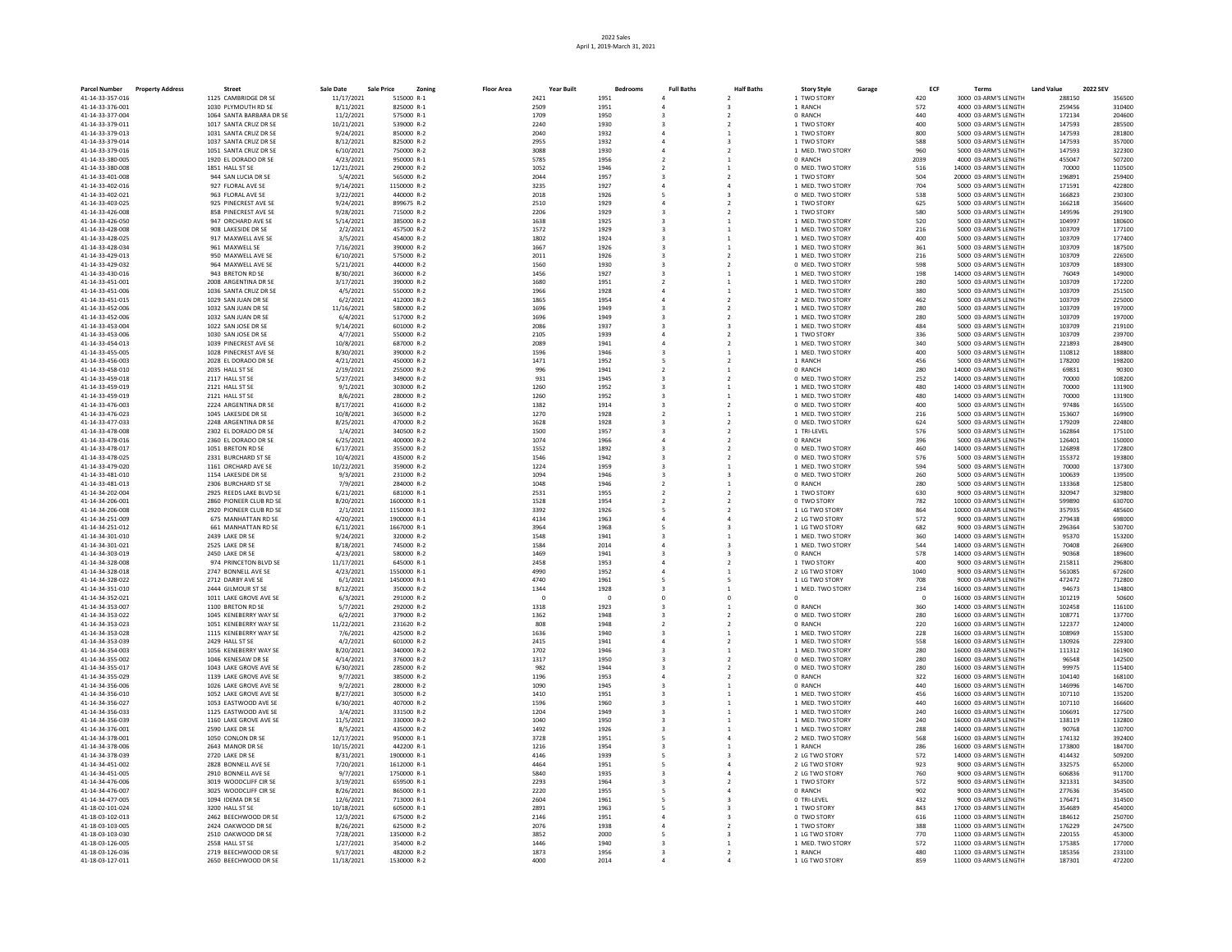| <b>Parcel Number</b>                 | <b>Property Address</b> | <b>Street</b>                                  | <b>Sale Date</b>       | <b>Sale Price</b>         | <b>Floor Area</b><br>Zoning | Year Built   | Bedrooms     | <b>Full Baths</b> | <b>Half Baths</b>        | <b>Story Style</b>                   | Garage | ECF        | <b>Terms</b>                                   | <b>Land Value</b> | 2022 SEV         |
|--------------------------------------|-------------------------|------------------------------------------------|------------------------|---------------------------|-----------------------------|--------------|--------------|-------------------|--------------------------|--------------------------------------|--------|------------|------------------------------------------------|-------------------|------------------|
| 41-14-33-357-016                     |                         | 1125 CAMBRIDGE DR SE                           | 11/17/2021             | 515000 R-1                |                             | 2421         | 1951         |                   |                          | 1 TWO STORY                          |        | 420        | 3000 03-ARM'S LENGTH                           | 288150            | 356500           |
| 41-14-33-376-001                     |                         | 1030 PLYMOUTH RD SE                            | 8/11/2021              | 825000 R-1                |                             | 2509         | 1951         |                   |                          | 1 RANCH                              |        | 572        | 4000 03-ARM'S LENGTH                           | 259456            | 310400           |
| 41-14-33-377-004                     |                         | 1064 SANTA BARBARA DR SE                       | 11/2/2021              | 575000 R-1                |                             | 1709         | 1950         |                   | $\overline{\phantom{a}}$ | 0 RANCH                              |        | 440        | 4000 03-ARM'S LENGTH                           | 172134            | 204600           |
| 41-14-33-379-011                     |                         | 1017 SANTA CRUZ DR SE                          | 10/21/2021             | 539000 R-2                |                             | 2240         | 1930         |                   |                          | 1 TWO STORY                          |        | 400        | 5000 03-ARM'S LENGTH                           | 147593<br>147593  | 285500<br>281800 |
| 41-14-33-379-013<br>41-14-33-379-014 |                         | 1031 SANTA CRUZ DR SE<br>1037 SANTA CRUZ DR SE | 9/24/2021<br>8/12/2021 | 850000 R-2<br>825000 R-2  |                             | 2040<br>2955 | 1932<br>1932 |                   |                          | 1 TWO STORY<br>1 TWO STORY           |        | 800<br>588 | 5000 03-ARM'S LENGTH<br>5000 03-ARM'S LENGTH   | 147593            | 357000           |
| 41-14-33-379-016                     |                         | 1051 SANTA CRUZ DR SE                          | 6/10/2021              | 750000 R-2                |                             | 3088         | 1930         |                   |                          | 1 MED. TWO STORY                     |        | 960        | 5000 03-ARM'S LENGTH                           | 147593            | 322300           |
| 41-14-33-380-005                     |                         | 1920 EL DORADO DR SE                           | 4/23/2021              | 950000 R-1                |                             | 5785         | 1956         |                   |                          | 0 RANCH                              |        | 2039       | 4000 03-ARM'S LENGTH                           | 455047            | 507200           |
| 41-14-33-380-008                     |                         | 1851 HALL ST SE                                | 12/21/2021             | 290000 R-2                |                             | 1052         | 1946         |                   |                          | 0 MED, TWO STORY                     |        | 516        | 14000 03-ARM'S LENGTH                          | 70000             | 110500           |
| 41-14-33-401-008                     |                         | 944 SAN LUCIA DR SE                            | 5/4/2021               | 565000 R-2                |                             | 2044         | 1957         |                   |                          | 1 TWO STORY                          |        | 504        | 20000 03-ARM'S LENGTH                          | 196891            | 259400           |
| 41-14-33-402-016                     |                         | 927 FLORAL AVE SE                              | 9/14/2021              | 1150000 R-2               |                             | 3235         | 1927         |                   |                          | 1 MED, TWO STORY                     |        | 704        | 5000 03-ARM'S LENGTH                           | 171591            | 422800           |
| 41-14-33-402-021                     |                         | 963 FLORAL AVE SE                              | 3/22/2021              | 440000 R-2                |                             | 2018         | 1926         |                   |                          | 0 MED. TWO STORY                     |        | 538        | 5000 03-ARM'S LENGTH                           | 166823            | 230300           |
| 41-14-33-403-025                     |                         | 925 PINECREST AVE SE                           | 9/24/2021              | 899675 R-2                |                             | 2510         | 1929         |                   |                          | 1 TWO STORY                          |        | 625        | 5000 03-ARM'S LENGTH                           | 166218            | 356600           |
| 41-14-33-426-008                     |                         | 858 PINECREST AVE SE                           | 9/28/2021              | 715000 R-2                |                             | 2206         | 1929         |                   |                          | 1 TWO STORY                          |        | 580        | 5000 03-ARM'S LENGTH                           | 149596            | 291900           |
| 41-14-33-426-050<br>41-14-33-428-008 |                         | 947 ORCHARD AVE SE<br>908 LAKESIDE DR SE       | 5/14/2021<br>2/2/2021  | 385000 R-2<br>457500 R-2  |                             | 1638         | 1925<br>1929 |                   |                          | 1 MED. TWO STORY<br>1 MED. TWO STORY |        | 520<br>216 | 5000 03-ARM'S LENGTH<br>5000 03-ARM'S LENGTH   | 104997<br>103709  | 180600<br>177100 |
| 41-14-33-428-025                     |                         | 917 MAXWELL AVE SE                             | 3/5/2021               | 454000 R-2                |                             | 1572<br>1802 | 1924         |                   |                          | 1 MED. TWO STORY                     |        | 400        | 5000 03-ARM'S LENGTH                           | 103709            | 177400           |
| 41-14-33-428-034                     |                         | 961 MAXWELL SE                                 | 7/16/2021              | 390000 R-2                |                             | 1667         | 1926         |                   |                          | 1 MED. TWO STORY                     |        | 361        | 5000 03-ARM'S LENGTH                           | 103709            | 187500           |
| 41-14-33-429-013                     |                         | 950 MAXWELL AVE SE                             | 6/10/2021              | 575000 R-2                |                             | 2011         | 1926         |                   |                          | 1 MED. TWO STORY                     |        | 216        | 5000 03-ARM'S LENGTH                           | 103709            | 226500           |
| 41-14-33-429-032                     |                         | 964 MAXWELL AVE SE                             | 5/21/2021              | 440000 R-2                |                             | 1560         | 1930         |                   |                          | 0 MED. TWO STORY                     |        | 598        | 5000 03-ARM'S LENGTH                           | 103709            | 189300           |
| 41-14-33-430-016                     |                         | 943 BRETON RD SE                               | 8/30/2021              | 360000 R-2                |                             | 1456         | 1927         |                   |                          | 1 MED. TWO STORY                     |        | 198        | 14000 03-ARM'S LENGTH                          | 76049             | 149000           |
| 41-14-33-451-001                     |                         | 2008 ARGENTINA DR SE                           | 3/17/2021              | 390000 R-2                |                             | 1680         | 1951         |                   |                          | 1 MED. TWO STORY                     |        | 280        | 5000 03-ARM'S LENGTH                           | 103709            | 172200           |
| 41-14-33-451-006                     |                         | 1036 SANTA CRUZ DR SE                          | 4/5/2021               | 550000 R-2                |                             | 1966         | 1928         |                   |                          | 1 MED. TWO STORY                     |        | 380        | 5000 03-ARM'S LENGTH                           | 103709            | 251500           |
| 41-14-33-451-015                     |                         | 1029 SAN JUAN DR SE                            | 6/2/2021               | 412000 R-2                |                             | 1865         | 1954         |                   |                          | 2 MED. TWO STORY                     |        | 462        | 5000 03-ARM'S LENGTH                           | 103709            | 225000           |
| 41-14-33-452-006                     |                         | 1032 SAN JUAN DR SE                            | 11/16/2021             | 580000 R-2                |                             | 1696         | 1949         |                   |                          | 1 MED. TWO STORY                     |        | 280        | 5000 03-ARM'S LENGTH                           | 103709            | 197000           |
| 41-14-33-452-006                     |                         | 1032 SAN JUAN DR SE                            | 6/4/2021               | 517000 R-2                |                             | 1696         | 1949         |                   |                          | 1 MED. TWO STORY                     |        | 280        | 5000 03-ARM'S LENGTH                           | 103709            | 197000           |
| 41-14-33-453-004                     |                         | 1022 SAN JOSE DR SE                            | 9/14/2021              | 601000 R-2                |                             | 2086         | 1937         |                   |                          | 1 MED. TWO STORY                     |        | 484        | 5000 03-ARM'S LENGTH                           | 103709<br>103709  | 219100           |
| 41-14-33-453-006<br>41-14-33-454-013 |                         | 1030 SAN JOSE DR SE<br>1039 PINECREST AVE SE   | 4/7/2021<br>10/8/2021  | 550000 R-2<br>687000 R-2  |                             | 2105<br>2089 | 1939<br>1941 |                   |                          | 1 TWO STORY<br>1 MED. TWO STORY      |        | 336<br>340 | 5000 03-ARM'S LENGTH<br>5000 03-ARM'S LENGTH   | 221893            | 239700<br>284900 |
| 41-14-33-455-005                     |                         | 1028 PINECREST AVE SE                          | 8/30/2021              | 390000 R-2                |                             | 1596         | 1946         |                   |                          | 1 MED. TWO STORY                     |        | 400        | 5000 03-ARM'S LENGTH                           | 110812            | 188800           |
| 41-14-33-456-003                     |                         | 2028 EL DORADO DR SE                           | 4/21/2021              | 450000 R-2                |                             | 1471         | 1952         |                   |                          | 1 RANCH                              |        | 456        | 5000 03-ARM'S LENGTH                           | 178200            | 198200           |
| 41-14-33-458-010                     |                         | 2035 HALL ST SE                                | 2/19/2021              | 255000 R-2                |                             | 996          | 1941         |                   |                          | 0 RANCH                              |        | 280        | 14000 03-ARM'S LENGTH                          | 69831             | 90300            |
| 41-14-33-459-018                     |                         | 2117 HALL ST SE                                | 5/27/2021              | 349000 R-2                |                             | 931          | 1945         |                   |                          | 0 MED, TWO STORY                     |        | 252        | 14000 03-ARM'S LENGTH                          | 70000             | 108200           |
| 41-14-33-459-019                     |                         | 2121 HALL ST SE                                | 9/1/2021               | 303000 R-2                |                             | 1260         | 1952         |                   |                          | 1 MED. TWO STORY                     |        | 480        | 14000 03-ARM'S LENGTH                          | 70000             | 131900           |
| 41-14-33-459-019                     |                         | 2121 HALL ST SE                                | 8/6/2021               | 280000 R-2                |                             | 1260         | 1952         |                   |                          | 1 MED. TWO STORY                     |        | 480        | 14000 03-ARM'S LENGTH                          | 70000             | 131900           |
| 41-14-33-476-003                     |                         | 2224 ARGENTINA DR SE                           | 8/17/2021              | 416000 R-2                |                             | 1382         | 1914         |                   |                          | 0 MED. TWO STORY                     |        | 400        | 5000 03-ARM'S LENGTH                           | 97486             | 165500           |
| 41-14-33-476-023                     |                         | 1045 LAKESIDE DR SE                            | 10/8/2021              | 365000 R-2                |                             | 1270         | 1928         |                   |                          | 1 MED. TWO STORY                     |        | 216        | 5000 03-ARM'S LENGTH                           | 153607            | 169900           |
| 41-14-33-477-033                     |                         | 2248 ARGENTINA DR SE                           | 8/25/2021              | 470000 R-2                |                             | 1628         | 1928         |                   |                          | 0 MED. TWO STORY                     |        | 624        | 5000 03-ARM'S LENGTH                           | 179209            | 224800           |
| 41-14-33-478-008                     |                         | 2302 EL DORADO DR SE                           | 1/4/2021               | 340500 R-2                |                             | 1500         | 1957         |                   |                          | 1 TRI-LEVEL                          |        | 576        | 5000 03-ARM'S LENGTH                           | 162864            | 175100           |
| 41-14-33-478-016<br>41-14-33-478-017 |                         | 2360 EL DORADO DR SE<br>1051 BRETON RD SE      | 6/25/2021<br>6/17/2021 | 400000 R-2<br>355000 R-2  |                             | 1074<br>1552 | 1966<br>1892 |                   |                          | 0 RANCH<br>0 MED, TWO STORY          |        | 396<br>460 | 5000 03-ARM'S LENGTH<br>14000 03-ARM'S LENGTH  | 126401<br>126898  | 150000<br>172800 |
| 41-14-33-478-025                     |                         | 2331 BURCHARD ST SE                            | 10/4/2021              | 435000 R-2                |                             | 1546         | 1942         |                   |                          | 0 MED, TWO STORY                     |        | 576        | 5000 03-ARM'S LENGTH                           | 155372            | 193800           |
| 41-14-33-479-020                     |                         | 1161 ORCHARD AVE SE                            | 10/22/2021             | 359000 R-2                |                             | 1224         | 1959         |                   |                          | 1 MED. TWO STORY                     |        | 594        | 5000 03-ARM'S LENGTH                           | 70000             | 137300           |
| 41-14-33-481-010                     |                         | 1154 LAKESIDE DR SE                            | 9/3/2021               | 231000 R-2                |                             | 1094         | 1946         |                   |                          | 0 MED. TWO STORY                     |        | 260        | 5000 03-ARM'S LENGTH                           | 100639            | 139500           |
| 41-14-33-481-013                     |                         | 2306 BURCHARD ST SE                            | 7/9/2021               | 284000 R-2                |                             | 1048         | 1946         |                   |                          | 0 RANCH                              |        | 280        | 5000 03-ARM'S LENGTH                           | 133368            | 125800           |
| 41-14-34-202-004                     |                         | 2925 REEDS LAKE BLVD SE                        | 6/21/2021              | 681000 R-1                |                             | 2531         | 1955         |                   |                          | 1 TWO STORY                          |        | 630        | 9000 03-ARM'S LENGTH                           | 320947            | 329800           |
| 41-14-34-206-001                     |                         | 2860 PIONEER CLUB RD SE                        | 8/20/2021              | 1600000 R-1               |                             | 1528         | 1954         |                   |                          | 0 TWO STORY                          |        | 782        | 10000 03-ARM'S LENGTH                          | 599890            | 630700           |
| 41-14-34-206-008                     |                         | 2920 PIONEER CLUB RD SE                        | 2/1/2021               | 1150000 R-1               |                             | 3392         | 1926         |                   |                          | 1 LG TWO STORY                       |        | 864        | 10000 03-ARM'S LENGTH                          | 357935            | 485600           |
| 41-14-34-251-009                     |                         | 675 MANHATTAN RD SE                            | 4/20/2021              | 1900000 R-1               |                             | 4134         | 1963         |                   |                          | 2 LG TWO STORY                       |        | 572        | 9000 03-ARM'S LENGTH                           | 279438            | 698000           |
| 41-14-34-251-012                     |                         | 661 MANHATTAN RD SF                            | 6/11/2021              | 1667000 R-1               |                             | 3964         | 1968         |                   |                          | 1 LG TWO STORY                       |        | 682        | 9000 03-ARM'S LENGTH                           | 296364            | 530700           |
| 41-14-34-301-010<br>41-14-34-301-021 |                         | 2439 LAKE DR SE<br>2525 LAKE DR SE             | 9/24/2021<br>8/18/2021 | 320000 R-2<br>745000 R-2  |                             | 1548<br>1584 | 1941<br>2014 |                   |                          | 1 MED. TWO STORY<br>1 MED. TWO STORY |        | 360<br>544 | 14000 03-ARM'S LENGTH<br>14000 03-ARM'S LENGTH | 95370<br>70408    | 153200<br>266900 |
| 41-14-34-303-019                     |                         | 2450 LAKE DR SE                                | 4/23/2021              | 580000 R-2                |                             | 1469         | 1941         |                   |                          | 0 RANCH                              |        | 578        | 14000 03-ARM'S LENGTH                          | 90368             | 189600           |
| 41-14-34-328-008                     |                         | 974 PRINCETON BLVD SE                          | 11/17/2021             | 645000 R-1                |                             | 2458         | 1953         |                   |                          | 1 TWO STORY                          |        | 400        | 9000 03-ARM'S LENGTH                           | 215811            | 296800           |
| 41-14-34-328-018                     |                         | 2747 BONNELL AVE SE                            | 4/23/2021              | 1550000 R-1               |                             | 4990         | 1952         |                   |                          | 2 LG TWO STORY                       |        | 1040       | 9000 03-ARM'S LENGTH                           | 561085            | 672600           |
| 41-14-34-328-022                     |                         | 2712 DARBY AVE SE                              | 6/1/2021               | 1450000 R-1               |                             | 4740         | 1961         |                   |                          | 1 LG TWO STORY                       |        | 708        | 9000 03-ARM'S LENGTH                           | 472472            | 712800           |
| 41-14-34-351-010                     |                         | 2444 GILMOUR ST SE                             | 8/12/2021              | 350000 R-2                |                             | 1344         | 1928         |                   |                          | 1 MED. TWO STORY                     |        | 234        | 16000 03-ARM'S LENGTH                          | 94673             | 134800           |
| 41-14-34-352-021                     |                         | 1011 LAKE GROVE AVE SE                         | 6/3/2021               | 291000 R-2                |                             | $\sqrt{ }$   | $\Omega$     |                   | $\Omega$                 |                                      |        | $\Omega$   | 16000 03-ARM'S LENGTH                          | 101219            | 50600            |
| 41-14-34-353-007                     |                         | 1100 BRETON RD SE                              | 5/7/2021               | 292000 R-2                |                             | 1318         | 1923         |                   |                          | 0 RANCH                              |        | 360        | 14000 03-ARM'S LENGTH                          | 102458            | 116100           |
| 41-14-34-353-022                     |                         | 1045 KENEBERRY WAY SE                          | 6/2/2021               | 379000 R-2                |                             | 1362         | 1948         |                   | $\mathcal{P}$            | 0 MED, TWO STORY                     |        | 280        | 16000 03-ARM'S LENGTH                          | 108771            | 137700           |
| 41-14-34-353-023                     |                         | 1051 KENEBERRY WAY SE                          | 11/22/2021             | 231620 R-2                |                             | 808          | 1948         |                   | $\mathcal{P}$            | 0 RANCH                              |        | 220        | 16000 03-ARM'S LENGTH                          | 122377            | 124000           |
| 41-14-34-353-028<br>41-14-34-353-039 |                         | 1115 KENEBERRY WAY SE<br>2429 HALL ST SE       | 7/6/2021<br>4/2/2021   | 425000 R-2<br>601000 R-2  |                             | 1636<br>2415 | 1940<br>1941 |                   |                          | 1 MED. TWO STORY<br>1 MED. TWO STORY |        | 228<br>558 | 16000 03-ARM'S LENGTH<br>16000 03-ARM'S LENGTH | 108969<br>130926  | 155300<br>229300 |
| 41-14-34-354-003                     |                         | 1056 KENEBERRY WAY SE                          | 8/20/2021              | 340000 R-2                |                             | 1702         | 1946         |                   |                          | 1 MED. TWO STORY                     |        | 280        | 16000 03-ARM'S LENGTH                          | 111312            | 161900           |
| 41-14-34-355-002                     |                         | 1046 KENESAW DR SE                             | 4/14/2021              | 376000 R-2                |                             | 1317         | 1950         |                   |                          | 0 MED. TWO STORY                     |        | 280        | 16000 03-ARM'S LENGTH                          | 96548             | 142500           |
| 41-14-34-355-017                     |                         | 1043 LAKE GROVE AVE SE                         | 6/30/2021              | 285000 R-2                |                             | 982          | 1944         |                   |                          | 0 MED. TWO STORY                     |        | 280        | 16000 03-ARM'S LENGTH                          | 99975             | 115400           |
| 41-14-34-355-029                     |                         | 1139 LAKE GROVE AVE SE                         | 9/7/2021               | 385000 R-2                |                             | 1196         | 1953         |                   |                          | 0 RANCH                              |        | 322        | 16000 03-ARM'S LENGTH                          | 104140            | 168100           |
| 41-14-34-356-006                     |                         | 1026 LAKE GROVE AVE SE                         | 9/2/2021               | 280000 R-2                |                             | 1090         | 1945         |                   |                          | 0 RANCH                              |        | 440        | 16000 03-ARM'S LENGTH                          | 146996            | 146700           |
| 41-14-34-356-010                     |                         | 1052 LAKE GROVE AVE SE                         | 8/27/2021              | 305000 R-2                |                             | 1410         | 1951         |                   | $\mathbf{1}$             | 1 MED, TWO STORY                     |        | 456        | 16000 03-ARM'S LENGTH                          | 107110            | 135200           |
| 41-14-34-356-027                     |                         | 1053 EASTWOOD AVE SE                           | 6/30/2021              | 407000 R-2                |                             | 1596         | 1960         |                   |                          | 1 MED. TWO STORY                     |        | 440        | 16000 03-ARM'S LENGTH                          | 107110            | 166600           |
| 41-14-34-356-033                     |                         | 1125 EASTWOOD AVE SE                           | 3/4/2021               | 331500 R-2                |                             | 1204         | 1949         |                   |                          | 1 MED. TWO STORY                     |        | 240        | 16000 03-ARM'S LENGTH                          | 106691            | 127500           |
| 41-14-34-356-039                     |                         | 1160 LAKE GROVE AVE SE                         | 11/5/2021              | 330000 R-2                |                             | 1040         | 1950         |                   |                          | 1 MED. TWO STORY                     |        | 240        | 16000 03-ARM'S LENGTH                          | 138119            | 132800           |
| 41-14-34-376-001<br>41-14-34-378-001 |                         | 2590 LAKE DR SE<br>1050 CONLON DR SE           | 8/5/2021<br>12/17/2021 | 435000 R-2<br>950000 R-1  |                             | 1492<br>3728 | 1926<br>1951 |                   |                          | 1 MED. TWO STORY<br>2 MED, TWO STORY |        | 288<br>568 | 14000 03-ARM'S LENGTH<br>16000 03-ARM'S LENGTH | 90768<br>174132   | 130700<br>392400 |
| 41-14-34-378-006                     |                         | 2643 MANOR DR SE                               | 10/15/2021             | 442200 R-1                |                             | 1216         | 1954         |                   |                          | 1 RANCH                              |        | 286        | 16000 03-ARM'S LENGTH                          | 173800            | 184700           |
| 41-14-34-378-039                     |                         | 2720 LAKE DR SE                                | 8/31/2021              | 1900000 R-1               |                             | 4146         | 1939         |                   |                          | 2 LG TWO STORY                       |        | 572        | 14000 03-ARM'S LENGTH                          | 414432            | 509200           |
| 41-14-34-451-002                     |                         | 2828 BONNELL AVE SE                            | 7/20/2021              | 1612000 R-1               |                             | 4464         | 1951         |                   |                          | 2 LG TWO STORY                       |        | 923        | 9000 03-ARM'S LENGTH                           | 332575            | 652000           |
| 41-14-34-451-005                     |                         | 2910 BONNELL AVE SE                            | 9/7/2021               | 1750000 R-1               |                             | 5840         | 1935         |                   |                          | 2 LG TWO STORY                       |        | 760        | 9000 03-ARM'S LENGTH                           | 606836            | 911700           |
| 41-14-34-476-006                     |                         | 3019 WOODCLIFF CIR SE                          | 3/19/2021              | 659500 R-1                |                             | 2293         | 1964         |                   |                          | 1 TWO STORY                          |        | 572        | 9000 03-ARM'S LENGTH                           | 321331            | 343500           |
| 41-14-34-476-007                     |                         | 3025 WOODCLIFF CIR SE                          | 8/26/2021              | 865000 R-1                |                             | 2220         | 1955         |                   |                          | 0 RANCH                              |        | 902        | 9000 03-ARM'S LENGTH                           | 277636            | 354500           |
| 41-14-34-477-005                     |                         | 1094 IDEMA DR SE                               | 12/6/2021              | 713000 R-1                |                             | 2604         | 1961         |                   |                          | 0 TRI-LEVEL                          |        | 432        | 9000 03-ARM'S LENGTH                           | 176471            | 314500           |
| 41-18-02-101-024                     |                         | 3200 HALL ST SE                                | 10/18/2021             | 605000 R-1                |                             | 2891         | 1963         |                   |                          | 1 TWO STORY                          |        | 843        | 17000 03-ARM'S LENGTH                          | 354689            | 454000           |
| 41-18-03-102-013                     |                         | 2462 BEECHWOOD DR SE                           | 12/3/2021              | 675000 R-2                |                             | 2146         | 1951         |                   |                          | 0 TWO STORY                          |        | 616        | 11000 03-ARM'S LENGTH                          | 184612            | 250700           |
| 41-18-03-103-005<br>41-18-03-103-030 |                         | 2424 OAKWOOD DR SE<br>2510 OAKWOOD DR SE       | 8/26/2021<br>7/28/2021 | 625000 R-2<br>1350000 R-2 |                             | 2076<br>3852 | 1938<br>2000 |                   |                          | 1 TWO STORY<br>1 LG TWO STORY        |        | 388<br>770 | 11000 03-ARM'S LENGTH<br>11000 03-ARM'S LENGTH | 176229<br>220155  | 247500<br>453000 |
| 41-18-03-126-005                     |                         | 2558 HALL ST SE                                | 1/27/2021              | 354000 R-2                |                             | 1446         | 1940         |                   |                          | 1 MED. TWO STORY                     |        | 572        | 11000 03-ARM'S LENGTH                          | 175385            | 177000           |
| 41-18-03-126-036                     |                         | 2719 BEECHWOOD DR SE                           | 9/17/2021              | 482000 R-2                |                             | 1873         | 1956         |                   |                          | 1 RANCH                              |        | 480        | 11000 03-ARM'S LENGTH                          | 185356            | 233100           |
| 41-18-03-127-011                     |                         | 2650 BEECHWOOD DR SE                           | 11/18/2021             | 1530000 R-2               |                             | 4000         | 2014         |                   |                          | 1 LG TWO STORY                       |        | 859        | 11000 03-ARM'S LENGTH                          | 187301            | 472200           |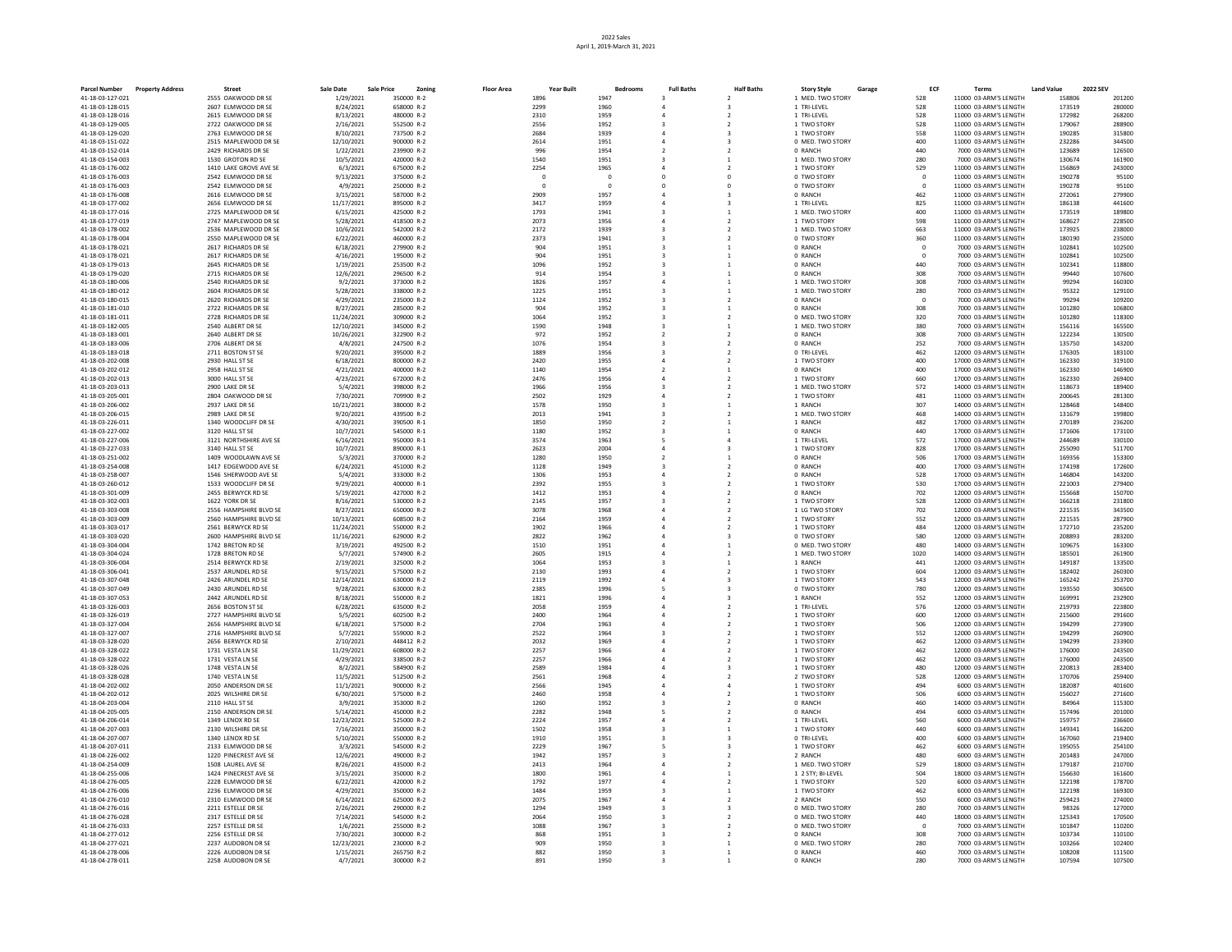| <b>Parcel Number</b>                 | <b>Property Address</b> | <b>Street</b>                                | Sale Date               | <b>Sale Price</b><br>Zoning | <b>Floor Area</b> | <b>Year Built</b>      | Bedrooms        | <b>Full Baths</b> | <b>Half Baths</b>        | <b>Story Style</b><br>Garage | ECF                        | Terms                                          | <b>Land Value</b> | <b>2022 SEV</b>  |
|--------------------------------------|-------------------------|----------------------------------------------|-------------------------|-----------------------------|-------------------|------------------------|-----------------|-------------------|--------------------------|------------------------------|----------------------------|------------------------------------------------|-------------------|------------------|
| 41-18-03-127-021                     |                         | 2555 OAKWOOD DR SE                           | 1/29/2021               | 350000 R-2                  |                   | 1896                   | 1947            |                   | $\mathcal{L}$            | 1 MED. TWO STORY             | 528                        | 11000 03-ARM'S LENGTH                          | 158806            | 201200           |
| 41-18-03-128-015                     |                         | 2607 ELMWOOD DR SE                           | 8/24/2021               | 658000 R-2                  |                   | 2299                   | 1960            |                   |                          | 1 TRI-LEVEL                  | 528                        | 11000 03-ARM'S LENGTH                          | 173519            | 280000           |
| 41-18-03-128-016                     |                         | 2615 ELMWOOD DR SE                           | 8/13/2021               | 480000 R-2                  |                   | 2310                   | 1959            |                   |                          | 1 TRI-LEVEL                  | 528                        | 11000 03-ARM'S LENGTH                          | 172982            | 268200           |
| 41-18-03-129-005                     |                         | 2722 OAKWOOD DR SE                           | 2/16/2021               | 552500 R-2                  |                   | 2556                   | 1952            |                   |                          | 1 TWO STORY                  | 528                        | 11000 03-ARM'S LENGTH                          | 179067            | 288900           |
| 41-18-03-129-020                     |                         | 2763 ELMWOOD DR SE                           | 8/10/2021               | 737500 R-2                  |                   | 2684                   | 1939            |                   |                          | 1 TWO STORY                  | 558                        | 11000 03-ARM'S LENGTH                          | 190285            | 315800           |
| 41-18-03-151-022                     |                         | 2515 MAPLEWOOD DR SE                         | 12/10/2021              | 900000 R-2                  |                   | 2614                   | 1951            |                   |                          | 0 MED. TWO STORY             | 400                        | 11000 03-ARM'S LENGTH                          | 232286            | 344500           |
| 41-18-03-152-014                     |                         | 2429 RICHARDS DR SE                          | 1/22/2021               | 239900 R-2                  |                   | 996                    | 1954            |                   |                          | 0 RANCH                      | 440                        | 7000 03-ARM'S LENGTH                           | 123689            | 126500           |
| 41-18-03-154-003                     |                         | 1530 GROTON RD SE                            | 10/5/2021               | 420000 R-2<br>675000 R-2    |                   | 1540                   | 1951            |                   | $\mathbf{1}$             | 1 MED, TWO STORY             | 280                        | 7000 03-ARM'S LENGTH                           | 130674<br>156869  | 161900<br>243000 |
| 41-18-03-176-002                     |                         | 1410 LAKE GROVE AVE SE<br>2542 ELMWOOD DR SE | 6/3/2021                | 375000 R-2                  |                   | 2254<br>$\overline{0}$ | 1965<br>$\circ$ |                   | $\mathbf 0$              | 1 TWO STORY                  | 529                        | 11000 03-ARM'S LENGTH                          | 190278            | 95100            |
| 41-18-03-176-003<br>41-18-03-176-003 |                         | 2542 FLMWOOD DR SF                           | 9/13/2021<br>4/9/2021   | 250000 R-2                  |                   | $\sqrt{2}$             | $\Omega$        |                   | $\Omega$                 | 0 TWO STORY                  | $\overline{0}$<br>$\Omega$ | 11000 03-ARM'S LENGTH<br>11000 03-ARM'S LENGTH | 190278            | 95100            |
|                                      |                         |                                              |                         | 587000 R-2                  |                   |                        |                 |                   |                          | 0 TWO STORY                  |                            |                                                |                   |                  |
| 41-18-03-176-008<br>41-18-03-177-002 |                         | 2616 ELMWOOD DR SE<br>2656 ELMWOOD DR SE     | 3/15/2021<br>11/17/2021 | 895000 R-2                  |                   | 2909<br>3417           | 1957<br>1959    |                   |                          | 0 RANCH<br>1 TRI-LEVEL       | 462<br>825                 | 11000 03-ARM'S LENGTH<br>11000 03-ARM'S LENGTH | 272061<br>186138  | 279900<br>441600 |
| 41-18-03-177-016                     |                         | 2725 MAPLEWOOD DR SE                         | 6/15/2021               | 425000 R-2                  |                   | 1793                   | 1941            |                   |                          | 1 MED. TWO STORY             | 400                        | 11000 03-ARM'S LENGTH                          | 173519            | 189800           |
| 41-18-03-177-019                     |                         | 2747 MAPLEWOOD DR SE                         | 5/28/2021               | 418500 R-2                  |                   | 2073                   | 1956            |                   |                          | 1 TWO STORY                  | 598                        | 11000 03-ARM'S LENGTH                          | 168627            | 228500           |
| 41-18-03-178-002                     |                         | 2536 MAPLEWOOD DR SE                         | 10/6/2021               | 542000 R-2                  |                   | 2172                   | 1939            |                   | $\overline{\phantom{a}}$ | 1 MED, TWO STORY             | 663                        | 11000 03-ARM'S LENGTH                          | 173925            | 238000           |
| 41-18-03-178-004                     |                         | 2550 MAPLEWOOD DR SE                         | 6/22/2021               | 460000 R-2                  |                   | 2373                   | 1941            |                   | $\mathcal{P}$            | 0 TWO STORY                  | 360                        | 11000 03-ARM'S LENGTH                          | 180190            | 235000           |
| 41-18-03-178-021                     |                         | 2617 RICHARDS DR SE                          | 6/18/2021               | 279900 R-2                  |                   | 904                    | 1951            |                   |                          | 0 RANCH                      | $\overline{\phantom{a}}$   | 7000 03-ARM'S LENGTH                           | 102841            | 102500           |
| 41-18-03-178-021                     |                         | 2617 RICHARDS DR SE                          | 4/16/2021               | 195000 R-2                  |                   | 904                    | 1951            |                   | $\mathbf{1}$             | 0 RANCH                      | $\overline{0}$             | 7000 03-ARM'S LENGTH                           | 102841            | 102500           |
| 41-18-03-179-013                     |                         | 2645 RICHARDS DR SE                          | 1/19/2021               | 253500 R-2                  |                   | 1096                   | 1952            |                   |                          | 0 RANCH                      | 440                        | 7000 03-ARM'S LENGTH                           | 102341            | 118800           |
| 41-18-03-179-020                     |                         | 2715 RICHARDS DR SE                          | 12/6/2021               | 296500 R-2                  |                   | 914                    | 1954            |                   |                          | 0 RANCH                      | 308                        | 7000 03-ARM'S LENGTH                           | 99440             | 107600           |
| 41-18-03-180-006                     |                         | 2540 RICHARDS DR SE                          | 9/2/2021                | 373000 R-2                  |                   | 1826                   | 1957            |                   |                          | 1 MED. TWO STORY             | 308                        | 7000 03-ARM'S LENGTH                           | 99294             | 160300           |
| 41-18-03-180-012                     |                         | 2604 RICHARDS DR SE                          | 5/28/2021               | 338000 R-2                  |                   | 1225                   | 1951            |                   |                          | 1 MED. TWO STORY             | 280                        | 7000 03-ARM'S LENGTH                           | 95322             | 129100           |
| 41-18-03-180-015                     |                         | 2620 RICHARDS DR SE                          | 4/29/2021               | 235000 R-2                  |                   | 1124                   | 1952            |                   |                          | 0 RANCH                      | $\overline{0}$             | 7000 03-ARM'S LENGTH                           | 99294             | 109200           |
| 41-18-03-181-010                     |                         | 2722 RICHARDS DR SE                          | 8/27/2021               | 285000 R-2                  |                   | 904                    | 1952            |                   | $\mathbf{1}$             | 0 RANCH                      | 308                        | 7000 03-ARM'S LENGTH                           | 101280            | 106800           |
| 41-18-03-181-011                     |                         | 2728 RICHARDS DR SE                          | 11/24/2021              | 309000 R-2                  |                   | 1064                   | 1952            |                   |                          | 0 MED. TWO STORY             | 320                        | 7000 03-ARM'S LENGTH                           | 101280            | 118300           |
| 41-18-03-182-005                     |                         | 2540 ALBERT DR SE                            | 12/10/2021              | 345000 R-2                  |                   | 1590                   | 1948            |                   |                          | 1 MED, TWO STORY             | 380                        | 7000 03-ARM'S LENGTH                           | 156116            | 165500           |
| 41-18-03-183-001                     |                         | 2640 ALBERT DR SE                            | 10/26/2021              | 322900 R-2                  |                   | 972                    | 1952            |                   |                          | 0 RANCH                      | 308                        | 7000 03-ARM'S LENGTH                           | 122234            | 130500           |
| 41-18-03-183-006                     |                         | 2706 ALBERT DR SE                            | 4/8/2021                | 247500 R-2                  |                   | 1076                   | 1954            |                   |                          | 0 RANCH                      | 252                        | 7000 03-ARM'S LENGTH                           | 135750            | 143200           |
| 41-18-03-183-018                     |                         | 2711 BOSTON ST SE                            | 9/20/2021               | 395000 R-2                  |                   | 1889                   | 1956            |                   | $\overline{\phantom{a}}$ | 0 TRI-LEVEL                  | 462                        | 12000 03-ARM'S LENGTH                          | 176305            | 183100           |
| 41-18-03-202-008                     |                         | 2930 HALL ST SE                              | 6/18/2021               | 800000 R-2                  |                   | 2420                   | 1955            |                   |                          | 1 TWO STORY                  | 400                        | 17000 03-ARM'S LENGTH                          | 162330            | 319100           |
| 41-18-03-202-012                     |                         | 2958 HALL ST SE                              | 4/21/2021               | 400000 R-2                  |                   | 1140                   | 1954            |                   |                          | 0 RANCH                      | 400                        | 17000 03-ARM'S LENGTH                          | 162330            | 146900           |
| 41-18-03-202-013                     |                         | 3000 HALL ST SE                              | 4/23/2021               | 672000 R-2                  |                   | 2476                   | 1956            |                   |                          | 1 TWO STORY                  | 660                        | 17000 03-ARM'S LENGTH                          | 162330            | 269400           |
| 41-18-03-203-013                     |                         | 2900 LAKE DR SE                              | 5/4/2021                | 398000 R-2                  |                   | 1966                   | 1956            |                   |                          | 1 MED. TWO STORY             | 572                        | 14000 03-ARM'S LENGTH                          | 118673            | 189400           |
| 41-18-03-205-001                     |                         | 2804 OAKWOOD DR SE                           | 7/30/2021               | 709900 R-2                  |                   | 2502                   | 1929            |                   |                          | 1 TWO STORY                  | 481                        | 11000 03-ARM'S LENGTH                          | 200645            | 281300           |
| 41-18-03-206-002                     |                         | 2937 LAKE DR SE                              | 10/21/2021              | 380000 R-2                  |                   | 1578                   | 1950            |                   | $\mathbf{1}$             | 1 RANCH                      | 307                        | 14000 03-ARM'S LENGTH                          | 128468            | 148400           |
| 41-18-03-206-015                     |                         | 2989 LAKE DR SE                              | 9/20/2021               | 439500 R-2                  |                   | 2013                   | 1941            |                   |                          | 1 MED. TWO STORY             | 468                        | 14000 03-ARM'S LENGTH                          | 131679            | 199800           |
| 41-18-03-226-011                     |                         | 1340 WOODCLIFF DR SE                         | 4/30/2021               | 390500 R-1                  |                   | 1850                   | 1950            |                   | $\mathbf{1}$             | 1 RANCH                      | 482                        | 17000 03-ARM'S LENGTH                          | 270189            | 236200           |
| 41-18-03-227-002                     |                         | 3120 HALL ST SE                              | 10/7/2021               | 545000 R-1                  |                   | 1180                   | 1952            |                   |                          | 0 RANCH                      | 440                        | 17000 03-ARM'S LENGTH                          | 171606            | 173100           |
| 41-18-03-227-006                     |                         | 3121 NORTHSHIRE AVE SE                       | 6/16/2021               | 950000 R-1                  |                   | 3574                   | 1963            |                   |                          | 1 TRI-LEVEL                  | 572                        | 17000 03-ARM'S LENGTH                          | 244689            | 330100           |
| 41-18-03-227-033                     |                         | 3140 HALL ST SE                              | 10/7/2021               | 890000 R-1                  |                   | 2623                   | 2004            |                   |                          | 1 TWO STORY                  | 828                        | 17000 03-ARM'S LENGTH                          | 255090            | 511700           |
| 41-18-03-251-002                     |                         | 1409 WOODLAWN AVE SE                         | 5/3/2021                | 370000 R-2                  |                   | 1280                   | 1950            |                   |                          | 0 RANCH                      | 506                        | 17000 03-ARM'S LENGTH                          | 169356            | 153300           |
| 41-18-03-254-008                     |                         | 1417 EDGEWOOD AVE SE                         | 6/24/2021               | 451000 R-2                  |                   | 1128                   | 1949            |                   |                          | 0 RANCH                      | 400                        | 17000 03-ARM'S LENGTH                          | 174198            | 172600           |
| 41-18-03-258-007                     |                         | 1546 SHERWOOD AVE SE                         | 5/4/2021                | 333000 R-2                  |                   | 1306                   | 1953            |                   |                          | 0 RANCH                      | 528                        | 17000 03-ARM'S LENGTH                          | 146804            | 143200           |
| 41-18-03-260-012                     |                         | 1533 WOODCLIFF DR SE                         | 9/29/2021               | 400000 R-1                  |                   | 2392                   | 1955            |                   |                          | 1 TWO STORY                  | 530                        | 17000 03-ARM'S LENGTH                          | 221003            | 279400           |
| 41-18-03-301-009                     |                         | 2455 BERWYCK RD SE                           | 5/19/2021               | 427000 R-2                  |                   | 1412                   | 1953            |                   |                          | 0 RANCH                      | 702                        | 12000 03-ARM'S LENGTH                          | 155668            | 150700           |
| 41-18-03-302-003                     |                         | 1622 YORK DR SE                              | 8/16/2021               | 530000 R-2                  |                   | 2145                   | 1957            |                   | $\mathcal{P}$            | 1 TWO STORY                  | 528                        | 12000 03-ARM'S LENGTH                          | 166218            | 231800           |
| 41-18-03-303-008                     |                         | 2556 HAMPSHIRE BLVD SE                       | 8/27/2021               | 650000 R-2                  |                   | 3078                   | 1968            |                   |                          | 1 LG TWO STORY               | 702                        | 12000 03-ARM'S LENGTH                          | 221535            | 343500           |
| 41-18-03-303-009                     |                         | 2560 HAMPSHIRE BLVD SE                       | 10/13/2021              | 608500 R-2                  |                   | 2164                   | 1959            |                   |                          | 1 TWO STORY                  | 552                        | 12000 03-ARM'S LENGTH                          | 221535            | 287900           |
| 41-18-03-303-017                     |                         | 2561 BERWYCK RD SE                           | 11/24/2021              | 550000 R-2                  |                   | 1902                   | 1966            |                   |                          | 1 TWO STORY                  | 484                        | 12000 03-ARM'S LENGTH                          | 172710            | 235200           |
| 41-18-03-303-020                     |                         | 2600 HAMPSHIRE BLVD SE                       | 11/16/2021              | 629000 R-2                  |                   | 2822                   | 1962            |                   |                          | 0 TWO STORY                  | 580                        | 12000 03-ARM'S LENGTH                          | 208893            | 283200           |
| 41-18-03-304-004                     |                         | 1742 BRETON RD SE                            | 3/19/2021               | 492500 R-2                  |                   | 1510                   | 1951            |                   |                          | 0 MED. TWO STORY             | 480                        | 14000 03-ARM'S LENGTH                          | 109675            | 163300           |
| 41-18-03-304-024                     |                         | 1728 BRETON RD SE                            | 5/7/2021                | 574900 R-2                  |                   | 2605                   | 1915            |                   |                          | 1 MED. TWO STORY             | 1020                       | 14000 03-ARM'S LENGTH                          | 185501            | 261900           |
| 41-18-03-306-004                     |                         | 2514 BERWYCK RD SE                           | 2/19/2021               | 325000 R-2                  |                   | 1064                   | 1953            |                   |                          | 1 RANCH                      | 441                        | 12000 03-ARM'S LENGTH                          | 149187            | 133500           |
| 41-18-03-306-041                     |                         | 2537 ARUNDEL RD SE                           | 9/15/2021               | 575000 R-2                  |                   | 2130                   | 1993            |                   |                          | 1 TWO STORY                  | 604                        | 12000 03-ARM'S LENGTH                          | 182402            | 260300           |
| 41-18-03-307-048                     |                         | 2426 ARUNDEL RD SE                           | 12/14/2021<br>9/28/2021 | 630000 R-2<br>630000 R-2    |                   | 2119<br>2385           | 1992<br>1996    |                   |                          | 1 TWO STORY                  | 543<br>780                 | 12000 03-ARM'S LENGTH<br>12000 03-ARM'S LENGTH | 165242<br>193550  | 253700<br>306500 |
| 41-18-03-307-049<br>41-18-03-307-053 |                         | 2430 ARUNDEL RD SE<br>2442 ARUNDEL RD SE     | 8/18/2021               | 550000 R-2                  |                   | 1821                   | 1996            |                   |                          | 0 TWO STORY<br>1 RANCH       | 552                        | 12000 03-ARM'S LENGTH                          | 169991            | 232900           |
| 41-18-03-326-003                     |                         | 2656 BOSTON ST SE                            | 6/28/2021               | 635000 R-2                  |                   | 2058                   | 1959            |                   |                          | 1 TRI-LEVEL                  | 576                        | 12000 03-ARM'S LENGTH                          | 219793            | 223800           |
| 41-18-03-326-019                     |                         | 2727 HAMPSHIRE BLVD SE                       | 5/5/2021                | 602500 R-2                  |                   | 2400                   | 1964            |                   | $\mathcal{P}$            | 1 TWO STORY                  | 600                        | 12000 03-ARM'S LENGTH                          | 215600            | 291600           |
| 41-18-03-327-004                     |                         | 2656 HAMPSHIRE BLVD SE                       | 6/18/2021               | 575000 R-2                  |                   | 2704                   | 1963            |                   |                          | 1 TWO STORY                  | 506                        | 12000 03-ARM'S LENGTH                          | 194299            | 273900           |
| 41-18-03-327-007                     |                         | 2716 HAMPSHIRE BLVD SE                       | 5/7/2021                | 559000 R-2                  |                   | 2522                   | 1964            |                   |                          | 1 TWO STORY                  | 552                        | 12000 03-ARM'S LENGTH                          | 194299            | 260900           |
| 41-18-03-328-020                     |                         | 2656 BERWYCK RD SE                           | 2/10/2021               | 448412 R-2                  |                   | 2032                   | 1969            |                   |                          | 1 TWO STORY                  | 462                        | 12000 03-ARM'S LENGTH                          | 194299            | 233900           |
| 41-18-03-328-022                     |                         | 1731 VESTA LN SE                             | 11/29/2021              | 608000 R-2                  |                   | 2257                   | 1966            |                   |                          | 1 TWO STORY                  | 462                        | 12000 03-ARM'S LENGTH                          | 176000            | 243500           |
| 41-18-03-328-022                     |                         | 1731 VESTA LN SE                             | 4/29/2021               | 338500 R-2                  |                   | 2257                   | 1966            |                   |                          | 1 TWO STORY                  | 462                        | 12000 03-ARM'S LENGTH                          | 176000            | 243500           |
| 41-18-03-328-026                     |                         | 1748 VESTA IN SF                             | 8/2/2021                | 584900 R-2                  |                   | 2589                   | 1984            |                   |                          | 1 TWO STORY                  | 480                        | 12000 03-ARM'S LENGTH                          | 220813            | 283400           |
| 41-18-03-328-028                     |                         | 1740 VESTA LN SE                             | 11/5/2021               | 512500 R-2                  |                   | 2561                   | 1968            |                   |                          | 2 TWO STORY                  | 528                        | 12000 03-ARM'S LENGTH                          | 170706            | 259400           |
| 41-18-04-202-002                     |                         | 2050 ANDERSON DR SE                          | 11/1/2021               | 900000 R-2                  |                   | 2566                   | 1945            |                   |                          | 1 TWO STORY                  | 494                        | 6000 03-ARM'S LENGTH                           | 182087            | 401600           |
| 41-18-04-202-012                     |                         | 2025 WILSHIRE DR SE                          | 6/30/2021               | 575000 R-2                  |                   | 2460                   | 1958            |                   | $\mathcal{L}$            | 1 TWO STORY                  | 506                        | 6000 03-ARM'S LENGTH                           | 156027            | 271600           |
| 41-18-04-203-004                     |                         | 2110 HALL ST SE                              | 3/9/2021                | 353000 R-2                  |                   | 1260                   | 1952            |                   |                          | 0 RANCH                      | 460                        | 14000 03-ARM'S LENGTH                          | 84964             | 115300           |
| 41-18-04-205-005                     |                         | 2150 ANDERSON DR SE                          | 5/14/2021               | 450000 R-2                  |                   | 2282                   | 1948            |                   |                          | 0 RANCH                      | 494                        | 6000 03-ARM'S LENGTH                           | 157496            | 201000           |
| 41-18-04-206-014                     |                         | 1349 LENOX RD SE                             | 12/23/2021              | 525000 R-2                  |                   | 2224                   | 1957            |                   |                          | 1 TRI-LEVEL                  | 560                        | 6000 03-ARM'S LENGTH                           | 159757            | 236600           |
| 41-18-04-207-003                     |                         | 2130 WILSHIRE DR SE                          | 7/16/2021               | 350000 R-2                  |                   | 1502                   | 1958            |                   |                          | 1 TWO STOR                   | 440                        | 6000 03-ARM'S LENGTH                           | 149341            | 166200           |
| 41-18-04-207-007                     |                         | 1340 LENOX RD SE                             | 5/10/2021               | 550000 R-2                  |                   | 1910                   | 1951            |                   |                          | O TRI-LEVEL                  | 400                        | 6000 03-ARM'S LENGTH                           | 167060            | 219400           |
| 41-18-04-207-011                     |                         | 2133 ELMWOOD DR SE                           | 3/3/2021                | 545000 R-2                  |                   | 2229                   | 1967            |                   |                          | 1 TWO STORY                  | 462                        | 6000 03-ARM'S LENGTH                           | 195055            | 254100           |
| 41-18-04-226-002                     |                         | 1220 PINECREST AVE SE                        | 12/6/2021               | 490000 R-2                  |                   | 1942                   | 1957            |                   |                          | 2 RANCH                      | 480                        | 6000 03-ARM'S LENGTH                           | 201483            | 247000           |
| 41-18-04-254-009                     |                         | 1508 LAUREL AVE SE                           | 8/26/2021               | 435000 R-2                  |                   | 2413                   | 1964            |                   |                          | 1 MED, TWO STORY             | 529                        | 18000 03-ARM'S LENGTH                          | 179187            | 210700           |
| 41-18-04-255-006                     |                         | 1424 PINECREST AVE SE                        | 3/15/2021               | 350000 R-2                  |                   | 1800                   | 1961            |                   |                          | 1 2 STY; BI-LEVEL            | 504                        | 18000 03-ARM'S LENGTH                          | 156630            | 161600           |
| 41-18-04-276-005                     |                         | 2228 ELMWOOD DR SE                           | 6/22/2021               | 420000 R-2                  |                   | 1792                   | 1977            |                   |                          | 1 TWO STORY                  | 520                        | 6000 03-ARM'S LENGTH                           | 122198            | 178700           |
| 41-18-04-276-006                     |                         | 2236 ELMWOOD DR SE                           | 4/29/2021               | 350000 R-2                  |                   | 1484                   | 1959            |                   |                          | 1 TWO STORY                  | 462                        | 6000 03-ARM'S LENGTH                           | 122198            | 169300           |
| 41-18-04-276-010                     |                         | 2310 ELMWOOD DR SE                           | 6/14/2021               | 625000 R-2                  |                   | 2075                   | 1967            |                   |                          | 2 RANCH                      | 550                        | 6000 03-ARM'S LENGTH                           | 259423            | 274000           |
| 41-18-04-276-016                     |                         | 2211 ESTELLE DR SE                           | 2/26/2021               | 290000 R-2                  |                   | 1294                   | 1949            |                   |                          | 0 MED, TWO STORY             | 280                        | 7000 03-ARM'S LENGTH                           | 98326             | 127000           |
| 41-18-04-276-028                     |                         | 2317 ESTELLE DR SE                           | 7/14/2021               | 545000 R-2                  |                   | 2064                   | 1950            |                   |                          | 0 MED. TWO STORY             | 440                        | 18000 03-ARM'S LENGTH                          | 125343            | 170500           |
| 41-18-04-276-033                     |                         | 2257 ESTELLE DR SE                           | 1/6/2021                | 255000 R-2                  |                   | 1088                   | 1967            |                   |                          | 0 MED. TWO STORY             | $\overline{0}$             | 7000 03-ARM'S LENGTH                           | 101847            | 110200           |
| 41-18-04-277-012                     |                         | 2256 ESTELLE DR SE                           | 7/30/2021               | 300000 R-2                  |                   | 868                    | 1951            |                   |                          | 0 RANCH                      | 308                        | 7000 03-ARM'S LENGTH                           | 103734            | 110100           |
| 41-18-04-277-021                     |                         | 2237 AUDOBON DR SE                           | 12/23/2021              | 230000 R-2                  |                   | 909                    | 1950            |                   |                          | 0 MED. TWO STORY             | 280                        | 7000 03-ARM'S LENGTH                           | 103266            | 102400           |
| 41-18-04-278-006                     |                         | 2226 AUDOBON DR SE                           | 1/15/2021               | 265750 R-2                  |                   | 882                    | 1950            |                   |                          | 0 RANCH                      | 460                        | 7000 03-ARM'S LENGTH                           | 108208            | 111500           |
| 41-18-04-278-011                     |                         | 2258 AUDOBON DR SE                           | 4/7/2021                | 300000 R-2                  |                   | 891                    | 1950            |                   |                          | 0 RANCH                      | 280                        | 7000 03-ARM'S LENGTH                           | 107594            | 107500           |